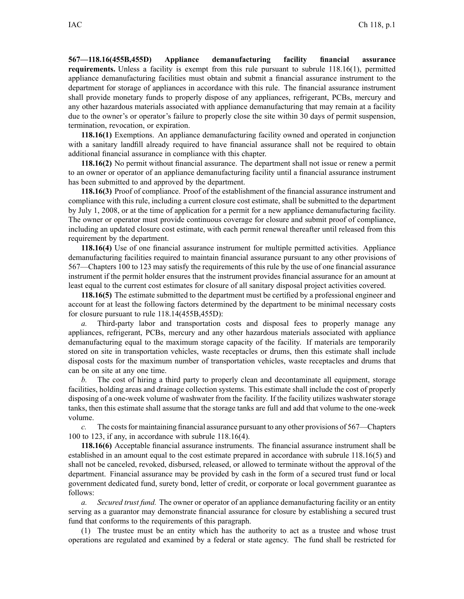**567—118.16(455B,455D) Appliance demanufacturing facility financial assurance requirements.** Unless <sup>a</sup> facility is exemp<sup>t</sup> from this rule pursuan<sup>t</sup> to subrule 118.16(1), permitted appliance demanufacturing facilities must obtain and submit <sup>a</sup> financial assurance instrument to the department for storage of appliances in accordance with this rule. The financial assurance instrument shall provide monetary funds to properly dispose of any appliances, refrigerant, PCBs, mercury and any other hazardous materials associated with appliance demanufacturing that may remain at <sup>a</sup> facility due to the owner's or operator's failure to properly close the site within 30 days of permit suspension, termination, revocation, or expiration.

**118.16(1)** Exemptions. An appliance demanufacturing facility owned and operated in conjunction with <sup>a</sup> sanitary landfill already required to have financial assurance shall not be required to obtain additional financial assurance in compliance with this chapter.

**118.16(2)** No permit without financial assurance. The department shall not issue or renew <sup>a</sup> permit to an owner or operator of an appliance demanufacturing facility until <sup>a</sup> financial assurance instrument has been submitted to and approved by the department.

**118.16(3)** Proof of compliance. Proof of the establishment of the financial assurance instrument and compliance with this rule, including <sup>a</sup> current closure cost estimate, shall be submitted to the department by July 1, 2008, or at the time of application for <sup>a</sup> permit for <sup>a</sup> new appliance demanufacturing facility. The owner or operator must provide continuous coverage for closure and submit proof of compliance, including an updated closure cost estimate, with each permit renewal thereafter until released from this requirement by the department.

**118.16(4)** Use of one financial assurance instrument for multiple permitted activities. Appliance demanufacturing facilities required to maintain financial assurance pursuan<sup>t</sup> to any other provisions of 567—Chapters 100 to 123 may satisfy the requirements of this rule by the use of one financial assurance instrument if the permit holder ensures that the instrument provides financial assurance for an amount at least equal to the current cost estimates for closure of all sanitary disposal project activities covered.

**118.16(5)** The estimate submitted to the department must be certified by <sup>a</sup> professional engineer and account for at least the following factors determined by the department to be minimal necessary costs for closure pursuan<sup>t</sup> to rule 118.14(455B,455D):

*a.* Third-party labor and transportation costs and disposal fees to properly manage any appliances, refrigerant, PCBs, mercury and any other hazardous materials associated with appliance demanufacturing equal to the maximum storage capacity of the facility. If materials are temporarily stored on site in transportation vehicles, waste receptacles or drums, then this estimate shall include disposal costs for the maximum number of transportation vehicles, waste receptacles and drums that can be on site at any one time.

*b.* The cost of hiring <sup>a</sup> third party to properly clean and decontaminate all equipment, storage facilities, holding areas and drainage collection systems. This estimate shall include the cost of properly disposing of <sup>a</sup> one-week volume of washwater from the facility. If the facility utilizes washwater storage tanks, then this estimate shall assume that the storage tanks are full and add that volume to the one-week volume.

*c.* The costs for maintaining financial assurance pursuant to any other provisions of 567—Chapters 100 to 123, if any, in accordance with subrule 118.16(4).

**118.16(6)** Acceptable financial assurance instruments. The financial assurance instrument shall be established in an amount equal to the cost estimate prepared in accordance with subrule 118.16(5) and shall not be canceled, revoked, disbursed, released, or allowed to terminate without the approval of the department. Financial assurance may be provided by cash in the form of <sup>a</sup> secured trust fund or local governmen<sup>t</sup> dedicated fund, surety bond, letter of credit, or corporate or local governmen<sup>t</sup> guarantee as follows:

*a. Secured trust fund.* The owner or operator of an appliance demanufacturing facility or an entity serving as <sup>a</sup> guarantor may demonstrate financial assurance for closure by establishing <sup>a</sup> secured trust fund that conforms to the requirements of this paragraph.

(1) The trustee must be an entity which has the authority to act as <sup>a</sup> trustee and whose trust operations are regulated and examined by <sup>a</sup> federal or state agency. The fund shall be restricted for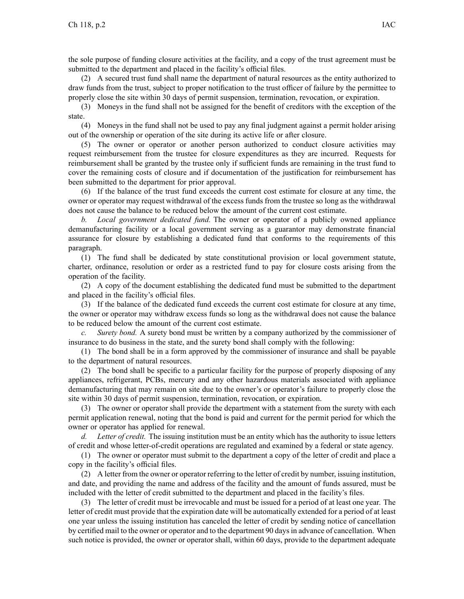the sole purpose of funding closure activities at the facility, and <sup>a</sup> copy of the trust agreemen<sup>t</sup> must be submitted to the department and placed in the facility's official files.

(2) A secured trust fund shall name the department of natural resources as the entity authorized to draw funds from the trust, subject to proper notification to the trust officer of failure by the permittee to properly close the site within 30 days of permit suspension, termination, revocation, or expiration.

(3) Moneys in the fund shall not be assigned for the benefit of creditors with the exception of the state.

(4) Moneys in the fund shall not be used to pay any final judgment against <sup>a</sup> permit holder arising out of the ownership or operation of the site during its active life or after closure.

(5) The owner or operator or another person authorized to conduct closure activities may reques<sup>t</sup> reimbursement from the trustee for closure expenditures as they are incurred. Requests for reimbursement shall be granted by the trustee only if sufficient funds are remaining in the trust fund to cover the remaining costs of closure and if documentation of the justification for reimbursement has been submitted to the department for prior approval.

(6) If the balance of the trust fund exceeds the current cost estimate for closure at any time, the owner or operator may reques<sup>t</sup> withdrawal of the excess funds from the trustee so long as the withdrawal does not cause the balance to be reduced below the amount of the current cost estimate.

*b. Local governmen<sup>t</sup> dedicated fund.* The owner or operator of <sup>a</sup> publicly owned appliance demanufacturing facility or <sup>a</sup> local governmen<sup>t</sup> serving as <sup>a</sup> guarantor may demonstrate financial assurance for closure by establishing <sup>a</sup> dedicated fund that conforms to the requirements of this paragraph.

(1) The fund shall be dedicated by state constitutional provision or local governmen<sup>t</sup> statute, charter, ordinance, resolution or order as <sup>a</sup> restricted fund to pay for closure costs arising from the operation of the facility.

(2) A copy of the document establishing the dedicated fund must be submitted to the department and placed in the facility's official files.

(3) If the balance of the dedicated fund exceeds the current cost estimate for closure at any time, the owner or operator may withdraw excess funds so long as the withdrawal does not cause the balance to be reduced below the amount of the current cost estimate.

*c. Surety bond.* A surety bond must be written by <sup>a</sup> company authorized by the commissioner of insurance to do business in the state, and the surety bond shall comply with the following:

(1) The bond shall be in <sup>a</sup> form approved by the commissioner of insurance and shall be payable to the department of natural resources.

(2) The bond shall be specific to <sup>a</sup> particular facility for the purpose of properly disposing of any appliances, refrigerant, PCBs, mercury and any other hazardous materials associated with appliance demanufacturing that may remain on site due to the owner's or operator's failure to properly close the site within 30 days of permit suspension, termination, revocation, or expiration.

(3) The owner or operator shall provide the department with <sup>a</sup> statement from the surety with each permit application renewal, noting that the bond is paid and current for the permit period for which the owner or operator has applied for renewal.

*d. Letter of credit.* The issuing institution must be an entity which has the authority to issue letters of credit and whose letter-of-credit operations are regulated and examined by <sup>a</sup> federal or state agency.

(1) The owner or operator must submit to the department <sup>a</sup> copy of the letter of credit and place <sup>a</sup> copy in the facility's official files.

(2) A letter from the owner or operator referring to the letter of credit by number, issuing institution, and date, and providing the name and address of the facility and the amount of funds assured, must be included with the letter of credit submitted to the department and placed in the facility's files.

(3) The letter of credit must be irrevocable and must be issued for <sup>a</sup> period of at least one year. The letter of credit must provide that the expiration date will be automatically extended for <sup>a</sup> period of at least one year unless the issuing institution has canceled the letter of credit by sending notice of cancellation by certified mail to the owner or operator and to the department 90 daysin advance of cancellation. When such notice is provided, the owner or operator shall, within 60 days, provide to the department adequate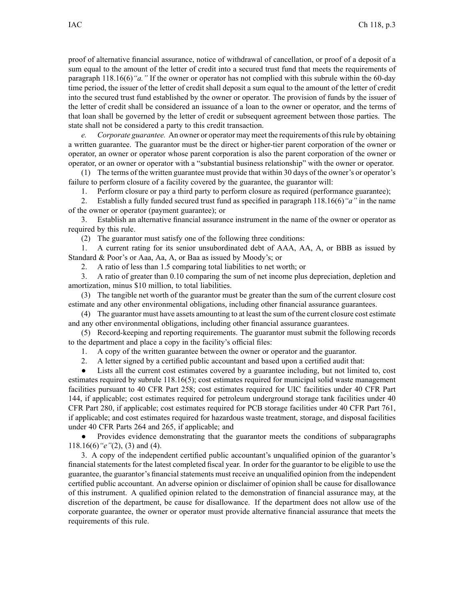proof of alternative financial assurance, notice of withdrawal of cancellation, or proof of <sup>a</sup> deposit of <sup>a</sup> sum equal to the amount of the letter of credit into <sup>a</sup> secured trust fund that meets the requirements of paragraph 118.16(6)*"a."* If the owner or operator has not complied with this subrule within the 60-day time period, the issuer of the letter of credit shall deposit <sup>a</sup> sum equal to the amount of the letter of credit into the secured trust fund established by the owner or operator. The provision of funds by the issuer of the letter of credit shall be considered an issuance of <sup>a</sup> loan to the owner or operator, and the terms of that loan shall be governed by the letter of credit or subsequent agreemen<sup>t</sup> between those parties. The state shall not be considered <sup>a</sup> party to this credit transaction.

*e. Corporate guarantee.* An owner or operator may meet the requirements of thisrule by obtaining <sup>a</sup> written guarantee. The guarantor must be the direct or higher-tier paren<sup>t</sup> corporation of the owner or operator, an owner or operator whose paren<sup>t</sup> corporation is also the paren<sup>t</sup> corporation of the owner or operator, or an owner or operator with <sup>a</sup> "substantial business relationship" with the owner or operator.

(1) The terms of the written guarantee must provide that within 30 days of the owner's or operator's failure to perform closure of <sup>a</sup> facility covered by the guarantee, the guarantor will:

1. Perform closure or pay <sup>a</sup> third party to perform closure as required (performance guarantee);

2. Establish <sup>a</sup> fully funded secured trust fund as specified in paragraph 118.16(6)*"a"* in the name of the owner or operator (payment guarantee); or

3. Establish an alternative financial assurance instrument in the name of the owner or operator as required by this rule.

(2) The guarantor must satisfy one of the following three conditions:

1. A current rating for its senior unsubordinated debt of AAA, AA, A, or BBB as issued by Standard & Poor's or Aaa, Aa, A, or Baa as issued by Moody's; or

2. A ratio of less than 1.5 comparing total liabilities to net worth; or

3. A ratio of greater than 0.10 comparing the sum of net income plus depreciation, depletion and amortization, minus \$10 million, to total liabilities.

(3) The tangible net worth of the guarantor must be greater than the sum of the current closure cost estimate and any other environmental obligations, including other financial assurance guarantees.

(4) The guarantor must have assets amounting to at least the sum of the current closure cost estimate and any other environmental obligations, including other financial assurance guarantees.

(5) Record-keeping and reporting requirements. The guarantor must submit the following records to the department and place <sup>a</sup> copy in the facility's official files:

1. A copy of the written guarantee between the owner or operator and the guarantor.

2. A letter signed by <sup>a</sup> certified public accountant and based upon <sup>a</sup> certified audit that:

● Lists all the current cost estimates covered by <sup>a</sup> guarantee including, but not limited to, cost estimates required by subrule 118.16(5); cost estimates required for municipal solid waste managemen<sup>t</sup> facilities pursuan<sup>t</sup> to 40 CFR Part 258; cost estimates required for UIC facilities under 40 CFR Part 144, if applicable; cost estimates required for petroleum underground storage tank facilities under 40 CFR Part 280, if applicable; cost estimates required for PCB storage facilities under 40 CFR Part 761, if applicable; and cost estimates required for hazardous waste treatment, storage, and disposal facilities under 40 CFR Parts 264 and 265, if applicable; and

● Provides evidence demonstrating that the guarantor meets the conditions of subparagraphs 118.16(6)*"e"*(2), (3) and (4).

3. A copy of the independent certified public accountant's unqualified opinion of the guarantor's financial statements for the latest completed fiscal year. In order for the guarantor to be eligible to use the guarantee, the guarantor's financial statements must receive an unqualified opinion from the independent certified public accountant. An adverse opinion or disclaimer of opinion shall be cause for disallowance of this instrument. A qualified opinion related to the demonstration of financial assurance may, at the discretion of the department, be cause for disallowance. If the department does not allow use of the corporate guarantee, the owner or operator must provide alternative financial assurance that meets the requirements of this rule.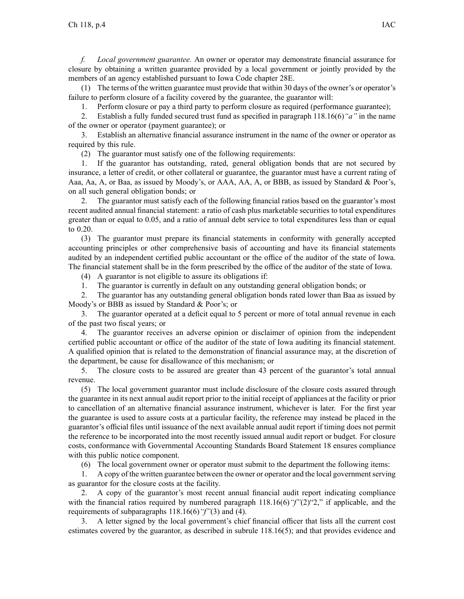*f. Local governmen<sup>t</sup> guarantee.* An owner or operator may demonstrate financial assurance for closure by obtaining <sup>a</sup> written guarantee provided by <sup>a</sup> local governmen<sup>t</sup> or jointly provided by the members of an agency established pursuan<sup>t</sup> to Iowa Code chapter 28E.

(1) The terms of the written guarantee must provide that within 30 days of the owner's or operator's failure to perform closure of <sup>a</sup> facility covered by the guarantee, the guarantor will:

1. Perform closure or pay <sup>a</sup> third party to perform closure as required (performance guarantee);

2. Establish <sup>a</sup> fully funded secured trust fund as specified in paragraph 118.16(6)*"a"* in the name of the owner or operator (payment guarantee); or

3. Establish an alternative financial assurance instrument in the name of the owner or operator as required by this rule.

(2) The guarantor must satisfy one of the following requirements:

1. If the guarantor has outstanding, rated, general obligation bonds that are not secured by insurance, <sup>a</sup> letter of credit, or other collateral or guarantee, the guarantor must have <sup>a</sup> current rating of Aaa, Aa, A, or Baa, as issued by Moody's, or AAA, AA, A, or BBB, as issued by Standard & Poor's, on all such general obligation bonds; or

2. The guarantor must satisfy each of the following financial ratios based on the guarantor's most recent audited annual financial statement: <sup>a</sup> ratio of cash plus marketable securities to total expenditures greater than or equal to 0.05, and <sup>a</sup> ratio of annual debt service to total expenditures less than or equal to 0.20.

(3) The guarantor must prepare its financial statements in conformity with generally accepted accounting principles or other comprehensive basis of accounting and have its financial statements audited by an independent certified public accountant or the office of the auditor of the state of Iowa. The financial statement shall be in the form prescribed by the office of the auditor of the state of Iowa.

(4) A guarantor is not eligible to assure its obligations if:

1. The guarantor is currently in default on any outstanding general obligation bonds; or

2. The guarantor has any outstanding general obligation bonds rated lower than Baa as issued by Moody's or BBB as issued by Standard & Poor's; or

3. The guarantor operated at <sup>a</sup> deficit equal to 5 percen<sup>t</sup> or more of total annual revenue in each of the pas<sup>t</sup> two fiscal years; or

4. The guarantor receives an adverse opinion or disclaimer of opinion from the independent certified public accountant or office of the auditor of the state of Iowa auditing its financial statement. A qualified opinion that is related to the demonstration of financial assurance may, at the discretion of the department, be cause for disallowance of this mechanism; or

5. The closure costs to be assured are greater than 43 percen<sup>t</sup> of the guarantor's total annual revenue.

(5) The local governmen<sup>t</sup> guarantor must include disclosure of the closure costs assured through the guarantee in its next annual audit repor<sup>t</sup> prior to the initial receipt of appliances at the facility or prior to cancellation of an alternative financial assurance instrument, whichever is later. For the first year the guarantee is used to assure costs at <sup>a</sup> particular facility, the reference may instead be placed in the guarantor's official files until issuance of the next available annual audit repor<sup>t</sup> if timing does not permit the reference to be incorporated into the most recently issued annual audit repor<sup>t</sup> or budget. For closure costs, conformance with Governmental Accounting Standards Board Statement 18 ensures compliance with this public notice component.

(6) The local governmen<sup>t</sup> owner or operator must submit to the department the following items:

1. A copy of the written guarantee between the owner or operator and the local governmentserving as guarantor for the closure costs at the facility.

2. A copy of the guarantor's most recent annual financial audit repor<sup>t</sup> indicating compliance with the financial ratios required by numbered paragraph 118.16(6) "f"(2)"2," if applicable, and the requirements of subparagraphs 118.16(6)*"f"*(3) and (4).

3. A letter signed by the local government's chief financial officer that lists all the current cost estimates covered by the guarantor, as described in subrule 118.16(5); and that provides evidence and